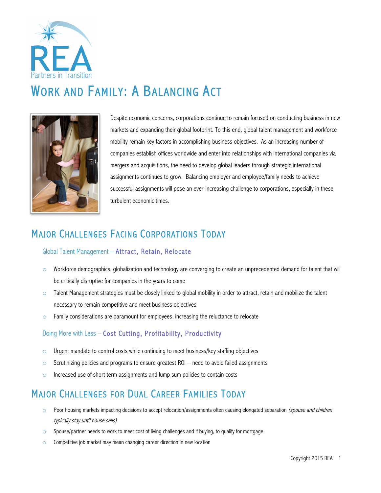

# WORK AND FAMILY: A BALANCING ACT



Despite economic concerns, corporations continue to remain focused on conducting business in new markets and expanding their global footprint. To this end, global talent management and workforce mobility remain key factors in accomplishing business objectives. As an increasing number of companies establish offices worldwide and enter into relationships with international companies via mergers and acquisitions, the need to develop global leaders through strategic international assignments continues to grow. Balancing employer and employee/family needs to achieve successful assignments will pose an ever-increasing challenge to corporations, especially in these turbulent economic times.

### MAJOR CHALLENGES FACING CORPORATIONS TODAY

#### Global Talent Management – Attract, Retain, Relocate

- $\circ$  Workforce demographics, globalization and technology are converging to create an unprecedented demand for talent that will be critically disruptive for companies in the years to come
- $\circ$  Talent Management strategies must be closely linked to global mobility in order to attract, retain and mobilize the talent necessary to remain competitive and meet business objectives
- $\circ$  Family considerations are paramount for employees, increasing the reluctance to relocate

#### Doing More with Less – Cost Cutting, Profitability, Productivity

- $\circ$  Urgent mandate to control costs while continuing to meet business/key staffing objectives
- $\circ$  Scrutinizing policies and programs to ensure greatest ROI need to avoid failed assignments
- $\circ$  Increased use of short term assignments and lump sum policies to contain costs

# MAJOR CHALLENGES FOR DUAL CAREER FAMILIES TODAY

- o Poor housing markets impacting decisions to accept relocation/assignments often causing elongated separation (spouse and children typically stay until house sells)
- o Spouse/partner needs to work to meet cost of living challenges and if buying, to qualify for mortgage
- o Competitive job market may mean changing career direction in new location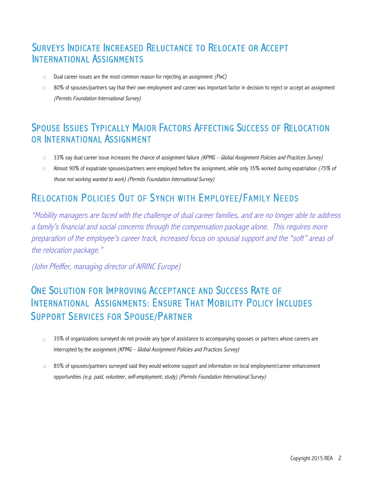### SURVEYS INDICATE INCREASED RELUCTANCE TO RELOCATE OR ACCEPT INTERNATIONAL ASSIGNMENTS

- Dual career issues are the most common reason for rejecting an assignment  $(PwC)$
- o 80% of spouses/partners say that their own employment and career was important factor in decision to reject or accept an assignment (Permits Foundation International Survey)

#### SPOUSE ISSUES TYPICALLY MAJOR FACTORS AFFECTING SUCCESS OF RELOCATION OR INTERNATIONAL ASSIGNMENT

- 33% say dual career issue increases the chance of assignment failure (KPMG Global Assignment Policies and Practices Survey)
- $\circ$  Almost 90% of expatriate spouses/partners were employed before the assignment, while only 35% worked during expatriation (75% of those not working wanted to work) (Permits Foundation International Survey)

### RELOCATION POLICIES OUT OF SYNCH WITH EMPLOYEE/FAMILY NEEDS

"Mobility managers are faced with the challenge of dual career families, and are no longer able to address a family's financial and social concerns through the compensation package alone. This requires more preparation of the employee's career track, increased focus on spousal support and the "soft" areas of the relocation package."

(John Pfeiffer, managing director of AIRINC Europe)

## ONE SOLUTION FOR IMPROVING ACCEPTANCE AND SUCCESS RATE OF INTERNATIONAL ASSIGNMENTS: ENSURE THAT MOBILITY POLICY INCLUDES SUPPORT SERVICES FOR SPOUSE/PARTNER

- $\circ$  35% of organizations surveyed do not provide any type of assistance to accompanying spouses or partners whose careers are interrupted by the assignment (KPMG – Global Assignment Policies and Practices Survey)
- $\circ$  85% of spouses/partners surveyed said they would welcome support and information on local employment/career enhancement opportunities (e.g. paid, volunteer, self-employment, study) (Permits Foundation International Survey)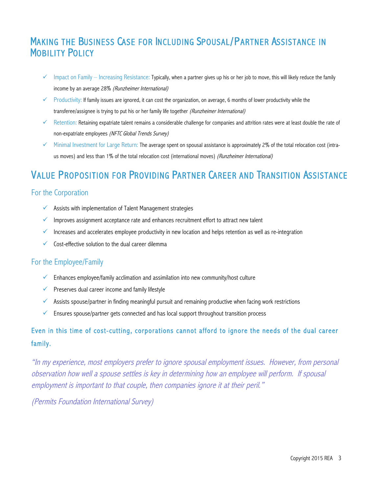### MAKING THE BUSINESS CASE FOR INCLUDING SPOUSAL/PARTNER ASSISTANCE IN MOBILITY POLICY

- $\checkmark$  Impact on Family Increasing Resistance: Typically, when a partner gives up his or her job to move, this will likely reduce the family income by an average 28% (Runzheimer International)
- $\checkmark$  Productivity: If family issues are ignored, it can cost the organization, on average, 6 months of lower productivity while the transferee/assignee is trying to put his or her family life together (Runzheimer International)
- $\checkmark$  Retention: Retaining expatriate talent remains a considerable challenge for companies and attrition rates were at least double the rate of non-expatriate employees (NFTC Global Trends Survey)
- $\checkmark$  Minimal Investment for Large Return: The average spent on spousal assistance is approximately 2% of the total relocation cost (intraus moves) and less than 1% of the total relocation cost (international moves) (Runzheimer International)

### VALUE PROPOSITION FOR PROVIDING PARTNER CAREER AND TRANSITION ASSISTANCE

#### For the Corporation

- $\checkmark$  Assists with implementation of Talent Management strategies
- $\checkmark$  Improves assignment acceptance rate and enhances recruitment effort to attract new talent
- $\checkmark$  Increases and accelerates employee productivity in new location and helps retention as well as re-integration
- $\checkmark$  Cost-effective solution to the dual career dilemma

#### For the Employee/Family

- $\checkmark$  Enhances employee/family acclimation and assimilation into new community/host culture
- $\checkmark$  Preserves dual career income and family lifestyle
- $\checkmark$  Assists spouse/partner in finding meaningful pursuit and remaining productive when facing work restrictions
- $\checkmark$  Ensures spouse/partner gets connected and has local support throughout transition process

#### Even in this time of cost-cutting, corporations cannot afford to ignore the needs of the dual career family.

"In my experience, most employers prefer to ignore spousal employment issues. However, from personal observation how well a spouse settles is key in determining how an employee will perform. If spousal employment is important to that couple, then companies ignore it at their peril."

(Permits Foundation International Survey)